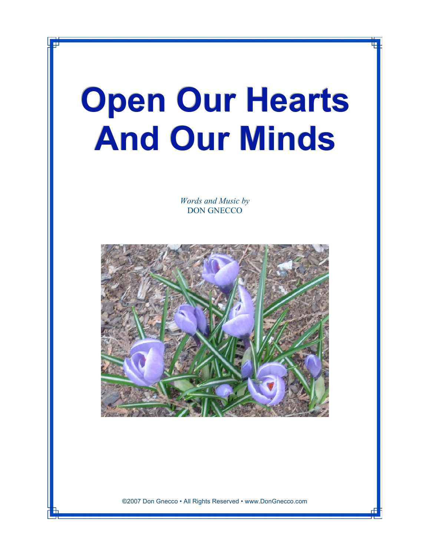## **Open Our Hearts And Our Minds**

*Words and Music by* DON GNECCO



©2007 Don Gnecco • All Rights Reserved • www.DonGnecco.com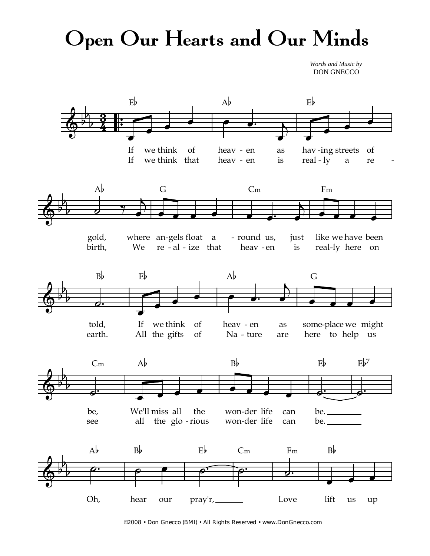## Open Our Hearts and Our Minds

*Words and Music by* DON GNECCO



©2008 • Don Gnecco (BMI) • All Rights Reserved • www.DonGnecco.com